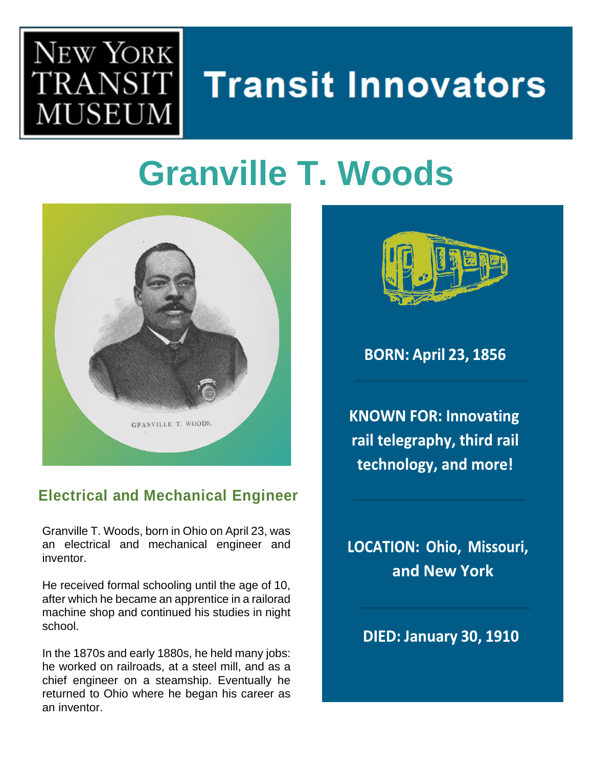

# **Transit Innovators**

### **Granville T. Woods**



#### **Electrical and Mechanical Engineer**

Granville T. Woods, born in Ohio on April 23, was an electrical and mechanical engineer and inventor.

He received formal schooling until the age of 10, after which he became an apprentice in a railorad machine shop and continued his studies in night school.

In the 1870s and early 1880s, he held many jobs: he worked on railroads, at a steel mill, and as a chief engineer on a steamship. Eventually he returned to Ohio where he began his career as an inventor.



**BORN: April 23, 1856** 

**KNOWN FOR: Innovating** rail telegraphy, third rail technology, and more!

LOCATION: Ohio, Missouri, **and New York**

**DIED: January 30, 1910**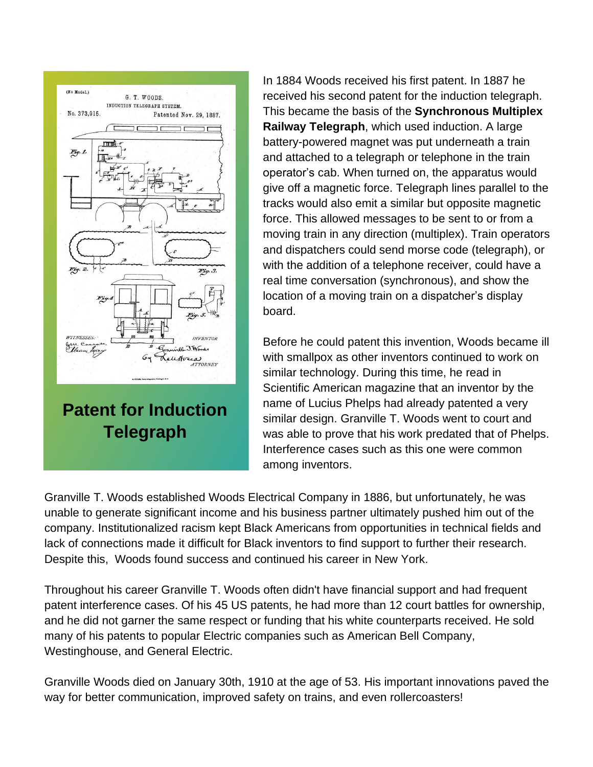

In 1884 Woods received his first patent. In 1887 he received his second patent for the induction telegraph. This became the basis of the **Synchronous Multiplex Railway Telegraph**, which used induction. A large battery-powered magnet was put underneath a train and attached to a telegraph or telephone in the train operator's cab. When turned on, the apparatus would give off a magnetic force. Telegraph lines parallel to the tracks would also emit a similar but opposite magnetic force. This allowed messages to be sent to or from a moving train in any direction (multiplex). Train operators and dispatchers could send morse code (telegraph), or with the addition of a telephone receiver, could have a real time conversation (synchronous), and show the location of a moving train on a dispatcher's display board.

Before he could patent this invention, Woods became ill with smallpox as other inventors continued to work on similar technology. During this time, he read in Scientific American magazine that an inventor by the name of Lucius Phelps had already patented a very similar design. Granville T. Woods went to court and was able to prove that his work predated that of Phelps. Interference cases such as this one were common among inventors.

Granville T. Woods established Woods Electrical Company in 1886, but unfortunately, he was unable to generate significant income and his business partner ultimately pushed him out of the company. Institutionalized racism kept Black Americans from opportunities in technical fields and lack of connections made it difficult for Black inventors to find support to further their research. Despite this, Woods found success and continued his career in New York.

Throughout his career Granville T. Woods often didn't have financial support and had frequent patent interference cases. Of his 45 US patents, he had more than 12 court battles for ownership, and he did not garner the same respect or funding that his white counterparts received. He sold many of his patents to popular Electric companies such as American Bell Company, Westinghouse, and General Electric.

Granville Woods died on January 30th, 1910 at the age of 53. His important innovations paved the way for better communication, improved safety on trains, and even rollercoasters!